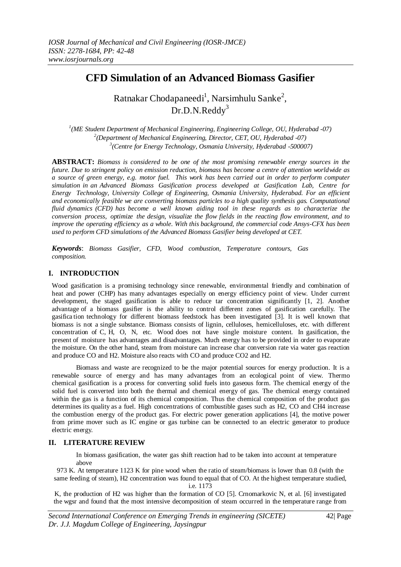# **CFD Simulation of an Advanced Biomass Gasifier**

Ratnakar Chodapaneedi<sup>1</sup>, Narsimhulu Sanke<sup>2</sup>, Dr.D.N.Reddy<sup>3</sup>

*1 (ME Student Department of Mechanical Engineering, Engineering College, OU, Hyderabad -07) 2 (Department of Mechanical Engineering, Director, CET, OU, Hyderabad -07) 3 (Centre for Energy Technology, Osmania University, Hyderabad -500007)*

**ABSTRACT:** *Biomass is considered to be one of the most promising renewable energy sources in the future. Due to stringent policy on emission reduction, biomass has become a centre of attention worldwide as a source of green energy, e.g. motor fuel. This work has been carried out in order to perform computer simulation in an Advanced Biomass Gasification process developed at Gasification Lab, Centre for Energy Technology, University College of Engineering, Osmania University, Hyderabad. For an efficient and economically feasible we are converting biomass particles to a high quality synthesis gas. Computational fluid dynamics (CFD) has become a well known aiding tool in these regards as to characterize the conversion process, optimize the design, visualize the flow fields in the reacting flow environment, and to improve the operating efficiency as a whole. With this background, the commercial code Ansys-CFX has been used to perform CFD simulations of the Advanced Biomass Gasifier being developed at CET.*

*Keywords*: *Biomass Gasifier, CFD, Wood combustion, Temperature contours, Gas composition.*

# **I. INTRODUCTION**

Wood gasification is a promising technology since renewable, environmental friendly and combination of heat and power (CHP) has many advantages especially on energy efficiency point of view. Under current development, the staged gasification is able to reduce tar concentration significantly [1, 2]. Another advantage of a biomass gasifier is the ability to control different zones of gasification carefully. The gasifica tion technology for different biomass feedstock has been investigated [3]. It is well known that biomass is not a single substance. Biomass consists of lignin, celluloses, hemicelluloses, etc. with different concentration of C, H, O, N, etc. Wood does not have single moisture content. In gasification, the present of moisture has advantages and disadvantages. Much energy has to be provided in order to evaporate the moisture. On the other hand, steam from moisture can increase char conversion rate via water gas reaction and produce CO and H2. Moisture also reacts with CO and produce CO2 and H2.

Biomass and waste are recognized to be the major potential sources for energy production. It is a renewable source of energy and has many advantages from an ecological point of view. Thermo chemical gasification is a process for converting solid fuels into gaseous form. The chemical energy of the solid fuel is converted into both the thermal and chemical energy of gas. The chemical energy contained within the gas is a function of its chemical composition. Thus the chemical composition of the product gas determines its quality as a fuel. High concentrations of combustible gases such as H2, CO and CH4 increase the combustion energy of the product gas. For electric power generation applications [4], the motive power from prime mover such as IC engine or gas turbine can be connected to an electric generator to produce electric energy.

# **II. LITERATURE REVIEW**

In biomass gasification, the water gas shift reaction had to be taken into account at temperature above

973 K. At temperature 1123 K for pine wood when the ratio of steam/biomass is lower than 0.8 (with the same feeding of steam), H2 concentration was found to equal that of CO. At the highest temperature studied, i.e. 1173

K, the production of H2 was higher than the formation of CO [5]. Crnomarkovic N, et al. [6] investigated the wgsr and found that the most intensive decomposition of steam occurred in the temperature range from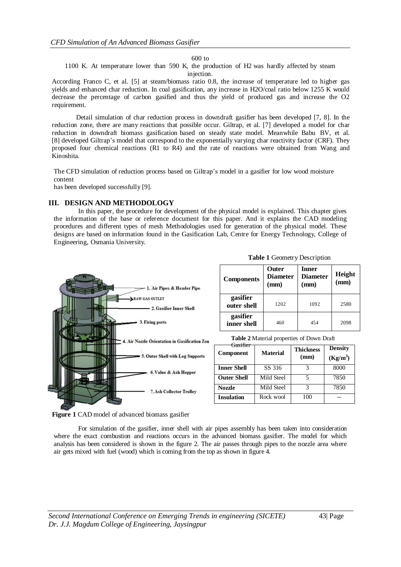600 to

1100 K. At temperature lower than 590 K, the production of H2 was hardly affected by steam injection.

According Franco C, et al. [5] at steam/biomass ratio 0.8, the increase of temperature led to higher gas yields and enhanced char reduction. In coal gasification, any increase in H2O/coal ratio below 1255 K would decrease the percentage of carbon gasified and thus the yield of produced gas and increase the O2 requirement.

Detail simulation of char reduction process in downdraft gasifier has been developed [7, 8]. In the reduction zone, there are many reactions that possible occur. Giltrap, et al. [7] developed a model for char reduction in downdraft biomass gasification based on steady state model. Meanwhile Babu BV, et al. [8] developed Giltrap's model that correspond to the exponentially varying char reactivity factor (CRF). They proposed four chemical reactions (R1 to R4) and the rate of reactions were obtained from Wang and Kinoshita.

The CFD simulation of reduction process based on Giltrap's model in a gasifier for low wood moisture content

has been developed successfully [9].

## **III. DESIGN AND METHODOLOGY**

In this paper, the procedure for development of the physical model is explained. This chapter gives the information of the base or reference document for this paper. And it explains the CAD modeling procedures and different types of mesh Methodologies used for generation of the physical model. These designs are based on information found in the Gasification Lab, Centre for Energy Technology, College of Engineering, Osmania University.



**Figure 1** CAD model of advanced biomass gasifier

For simulation of the gasifier, inner shell with air pipes assembly has been taken into consideration where the exact combustion and reactions occurs in the advanced biomass gasifier. The model for which analysis has been considered is shown in the figure 2. The air passes through pipes to the nozzle area where air gets mixed with fuel (wood) which is coming from the top as shown in figure 4.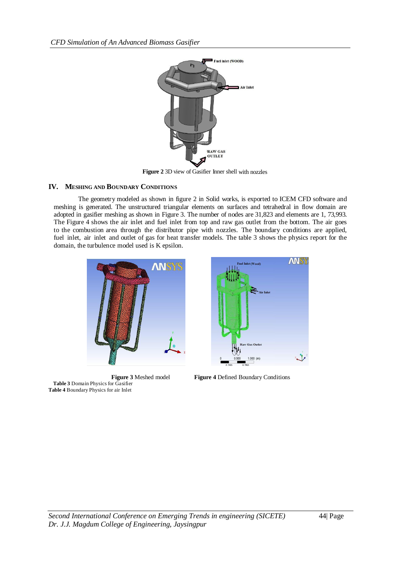

**Figure 2** 3D view of Gasifier Inner shell with nozzles

# **IV. MESHING AND BOUNDARY CONDITIONS**

The geometry modeled as shown in figure 2 in Solid works, is exported to ICEM CFD software and meshing is generated. The unstructured triangular elements on surfaces and tetrahedral in flow domain are adopted in gasifier meshing as shown in Figure 3. The number of nodes are 31,823 and elements are 1, 73,993. The Figure 4 shows the air inlet and fuel inlet from top and raw gas outlet from the bottom. The air goes to the combustion area through the distributor pipe with nozzles. The boundary conditions are applied, fuel inlet, air inlet and outlet of gas for heat transfer models. The table 3 shows the physics report for the domain, the turbulence model used is K epsilon.



**Table 3** Domain Physics for Gasifier **Table 4** Boundary Physics for air Inlet



**Figure 3** Meshed model **Figure 4** Defined Boundary Conditions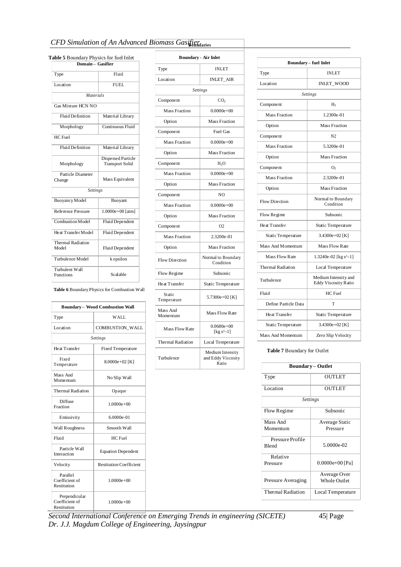# *CFD* Simulation of An Advanced Biomass Gasifiendlaries

**Domain – Gasifier** Type Fluid Location FUEL *Materials* Gas Mixture HCN NO Fluid Definition Material Library Morphology Continuous Fluid HC Fuel Fluid Definition | Material Library Morphology Dispersed Particle Transport Solid Particle Diameter<br>Change Mass Equivalent *Settings* Buoyancy Model Buoyant Reference Pressure 1.0000e+00 [atm] Combustion Model Fluid Dependent Heat Transfer Model Fluid Dependent Thermal Radiation Model Fluid Dependent Turbulence Model | k epsilon Turbulent Wall Functions Scalable

| <b>Boundary - Air Inlet</b> |                                                 |  |
|-----------------------------|-------------------------------------------------|--|
| Type                        | <b>INLET</b>                                    |  |
| Location                    | <b>INLET_AIR</b>                                |  |
|                             | <b>Settings</b>                                 |  |
| Component                   | CO,                                             |  |
| <b>Mass Fraction</b>        | $0.0000e + 00$                                  |  |
| Option                      | Mass Fraction                                   |  |
| Component                   | <b>Fuel Gas</b>                                 |  |
| <b>Mass Fraction</b>        | $0.0000e + 00$                                  |  |
| Option                      | Mass Fraction                                   |  |
| Component                   | $H_2O$                                          |  |
| <b>Mass Fraction</b>        | $0.0000e + 00$                                  |  |
| Option                      | Mass Fraction                                   |  |
| Component                   | NO                                              |  |
| <b>Mass Fraction</b>        | $0.0000e + 00$                                  |  |
| Option                      | Mass Fraction                                   |  |
| Component                   | O <sub>2</sub>                                  |  |
| <b>Mass Fraction</b>        | 2.3200e-01                                      |  |
| Option                      | Mass Fraction                                   |  |
| <b>Flow Direction</b>       | Normal to Boundary<br>Condition                 |  |
| Flow Regime                 | Subsonic                                        |  |
| Heat Transfer               | Static Temperature                              |  |
| Static<br>Temperature       | 5.7300e+02 [K]                                  |  |
| Mass And<br>Momentum        | Mass Flow Rate                                  |  |
| Mass Flow Rate              | $0.0680e + 00$<br>[kg s^-1]                     |  |
| <b>Thermal Radiation</b>    | Local Temperature                               |  |
| Turbulence                  | Medium Intensity<br>and Eddy Viscosity<br>Ratio |  |

| <b>Boundary-fuel Inlet</b> |                                                     |  |
|----------------------------|-----------------------------------------------------|--|
| Type                       | <b>INLET</b>                                        |  |
| Location                   | INLET_WOOD                                          |  |
|                            | <b>Settings</b>                                     |  |
| Component                  | H <sub>2</sub>                                      |  |
| <b>Mass Fraction</b>       | 1.2300e-01                                          |  |
| Option                     | Mass Fraction                                       |  |
| Component                  | N <sub>2</sub>                                      |  |
| <b>Mass Fraction</b>       | 5.3200e-01                                          |  |
| Option                     | Mass Fraction                                       |  |
| Component                  | О,                                                  |  |
| <b>Mass Fraction</b>       | 2.3200e-01                                          |  |
| Option                     | <b>Mass Fraction</b>                                |  |
| Flow Direction             | Normal to Boundary<br>Condition                     |  |
| Flow Regime                | Subsonic                                            |  |
| Heat Transfer              | Static Temperature                                  |  |
| Static Temperature         | 3.4300e+02 $[K]$                                    |  |
| Mass And Momentum          | Mass Flow Rate                                      |  |
| Mass Flow Rate             | 1.3240e-02 [kg s^-1]                                |  |
| Thermal Radiation          | Local Temperature                                   |  |
| Turbulence                 | Medium Intensity and<br><b>Eddy Viscosity Ratio</b> |  |
| Fluid                      | HC Fuel                                             |  |
| Define Particle Data       | т                                                   |  |
| Heat Transfer              | Static Temperature                                  |  |
| Static Temperature         | 3.4300e+02 $[K]$                                    |  |
| Mass And Momentum          | Zero Slip Velocity                                  |  |

**Table 7** Boundary for Outlet

| <b>Boundary-Outlet</b> |                     |  |
|------------------------|---------------------|--|
| Type                   | <b>OUTLET</b>       |  |
| Location               | <b>OUTLET</b>       |  |
| <b>Settings</b>        |                     |  |
| Flow Regime            | Subsonic            |  |
| Mass And               | Average Static      |  |
| Momentum               | Pressure            |  |
| Pressure Profile       |                     |  |
| <b>Blend</b>           | 5.0000e-02          |  |
| Relative               |                     |  |
| Pressure               | $0.0000e+00$ [Pa]   |  |
|                        | Average Over        |  |
| Pressure Averaging     | <b>Whole Outlet</b> |  |
| Thermal Radiation      | Local Temperature   |  |
|                        |                     |  |

| - incontuition |                                                                            |             |
|----------------|----------------------------------------------------------------------------|-------------|
|                | Second International Conference on Emerging Trends in engineering (SICETE) | $45$   Page |
|                | Dr. J.J. Magdum College of Engineering. Jaysingpur                         |             |

# **Table 5** Boundary Physics for fuel Inlet

| <b>Thermal Radiation</b><br>Model              | Fluid Dependent                              |  |
|------------------------------------------------|----------------------------------------------|--|
| Turbulence Model                               | k epsilon                                    |  |
| Turbulent Wall<br><b>Functions</b>             | <b>Scalable</b>                              |  |
|                                                | Table 6 Boundary Physics for Combustion Wall |  |
| <b>Boundary-Wood Combustion Wall</b>           |                                              |  |
| Type                                           | WALL.                                        |  |
| Location                                       | <b>COMBUSTION WALL</b>                       |  |
| <b>Settings</b>                                |                                              |  |
| Heat Transfer                                  | <b>Fixed Temperature</b>                     |  |
| Fixed<br>Temperature                           | 8.0000e+02 [K]                               |  |
| Mass And<br>Momentum                           | No Slip Wall                                 |  |
| <b>Thermal Radiation</b>                       | Opaque                                       |  |
| Diffuse<br>Fraction                            | $1.0000e + 00$                               |  |
| Emissivity                                     | 6.0000e-01                                   |  |
| <b>Wall Roughness</b>                          | Smooth Wall                                  |  |
| Fluid                                          | HC Fuel                                      |  |
| Particle Wall<br>Interaction                   | <b>Equation Dependent</b>                    |  |
| Velocity                                       | <b>Restitution Coefficient</b>               |  |
| Parallel<br>Coefficient of<br>Restitution      | $1.0000e + 00$                               |  |
| Perpendicular<br>Coefficient of<br>Restitution | $1.0000e + 00$                               |  |

*Dr. J.J. Magdum College of Engineering, Jaysingpur*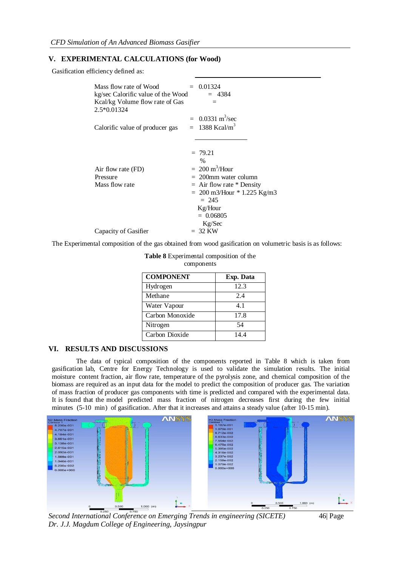## **V. EXPERIMENTAL CALCULATIONS (for Wood)**

Gasification efficiency defined as:

| Mass flow rate of Wood<br>kg/sec Calorific value of the Wood<br>Kcal/kg Volume flow rate of Gas<br>2.5*0.01324 | $= 0.01324$<br>$= 4384$                                                                                                                                                                            |
|----------------------------------------------------------------------------------------------------------------|----------------------------------------------------------------------------------------------------------------------------------------------------------------------------------------------------|
| Calorific value of producer gas                                                                                | $= 0.0331 \text{ m}^3/\text{sec}$<br>$= 1388$ Kcal/m <sup>3</sup>                                                                                                                                  |
| Air flow rate (FD)<br>Pressure<br>Mass flow rate                                                               | $= 79.21$<br>$\%$<br>$= 200 \text{ m}^3/\text{Hour}$<br>$= 200$ mm water column<br>$=$ Air flow rate $*$ Density<br>$= 200$ m3/Hour $* 1.225$ Kg/m3<br>$= 245$<br>Kg/Hour<br>$= 0.06805$<br>Kg/Sec |
| Capacity of Gasifier                                                                                           | $= 32$ KW                                                                                                                                                                                          |

The Experimental composition of the gas obtained from wood gasification on volumetric basis is as follows:

| <b>COMPONENT</b> | Exp. Data |
|------------------|-----------|
| Hydrogen         | 12.3      |
| Methane          | 2.4       |
| Water Vapour     | 4.1       |
| Carbon Monoxide  | 17.8      |
| Nitrogen         | 54        |
| Carbon Dioxide   | 14.4      |

| Table 8 Experimental composition of the |  |  |
|-----------------------------------------|--|--|
|-----------------------------------------|--|--|

components

#### **VI. RESULTS AND DISCUSSIONS**

The data of typical composition of the components reported in Table 8 which is taken from gasification lab, Centre for Energy Technology is used to validate the simulation results. The initial moisture content fraction, air flow rate, temperature of the pyrolysis zone, and chemical composition of the biomass are required as an input data for the model to predict the composition of producer gas. The variation of mass fraction of producer gas components with time is predicted and compared with the experimental data. It is found that the model predicted mass fraction of nitrogen decreases first during the few initial minutes (5-10 min) of gasification. After that it increases and attains a steady value (after 10-15 min).



*Second International Conference on Emerging Trends in engineering (SICETE)* 46| Page *Dr. J.J. Magdum College of Engineering, Jaysingpur*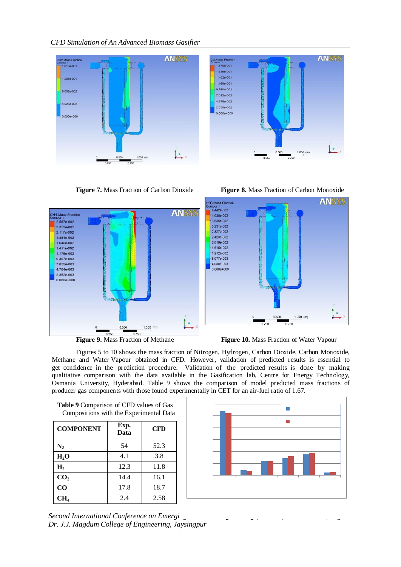*CFD Simulation of An Advanced Biomass Gasifier*



**Figure 7.** Mass Fraction of Carbon Dioxide **Figure 8.** Mass Fraction of Carbon Monoxide





**Figure 9.** Mass Fraction of Methane **Figure 10.** Mass Fraction of Water Vapour

Figures 5 to 10 shows the mass fraction of Nitrogen, Hydrogen, Carbon Dioxide, Carbon Monoxide, Methane and Water Vapour obtained in CFD. However, validation of predicted results is essential to get confidence in the prediction procedure. Validation of the predicted results is done by making qualitative comparison with the data available in the Gasification lab, Centre for Energy Technology, Osmania University, Hyderabad. Table 9 shows the comparison of model predicted mass fractions of producer gas components with those found experimentally in CET for an air-fuel ratio of 1.67.

| Compositions with the Experimental Data |              |            |
|-----------------------------------------|--------------|------------|
| <b>COMPONENT</b>                        | Exp.<br>Data | <b>CFD</b> |
| $\mathbf{N}_2$                          | 54           | 52.3       |
| $H_2O$                                  | 4.1          | 3.8        |
| H <sub>2</sub>                          | 12.3         | 11.8       |
| CO <sub>2</sub>                         | 14.4         | 16.1       |
| CO                                      | 17.8         | 18.7       |
| CH <sub>4</sub>                         | 2.4          | 2.58       |

**Table 9** Comparison of CFD values of Gas Compositions with the Experimental Data

*Second International Conference on Emerging Dr. J.J. Magdum College of Engineering, Jaysingpur*